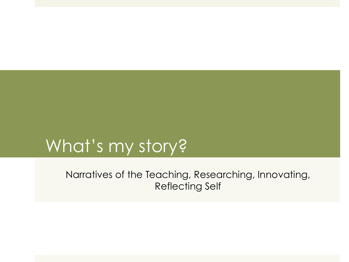# What's my story?

Narratives of the Teaching, Researching, Innovating, Reflecting Self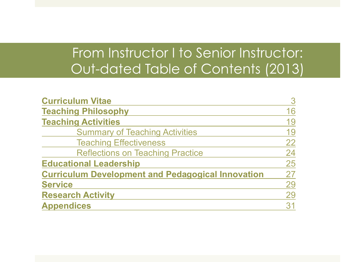## From Instructor I to Senior Instructor: Out-dated Table of Contents (2013)

| <b>Curriculum Vitae</b>                                  | 3  |
|----------------------------------------------------------|----|
| <b>Teaching Philosophy</b>                               | 16 |
| <b>Teaching Activities</b>                               | 19 |
| <b>Summary of Teaching Activities</b>                    | 19 |
| <b>Teaching Effectiveness</b>                            | 22 |
| <b>Reflections on Teaching Practice</b>                  | 24 |
| <b>Educational Leadership</b>                            | 25 |
| <b>Curriculum Development and Pedagogical Innovation</b> | 27 |
| <b>Service</b>                                           | 29 |
| <b>Research Activity</b>                                 | 29 |
| <b>Appendices</b>                                        | 31 |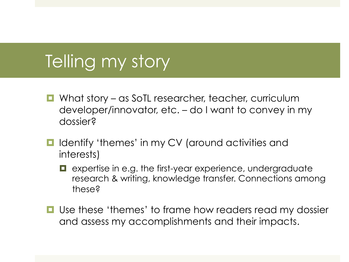## Telling my story

- **E** What story as SoTL researcher, teacher, curriculum developer/innovator, etc. – do I want to convey in my dossier?
- **I** Identify 'themes' in my CV (around activities and interests)
	- $\blacksquare$  expertise in e.g. the first-year experience, undergraduate research & writing, knowledge transfer. Connections among these?
- **I** Use these 'themes' to frame how readers read my dossier and assess my accomplishments and their impacts.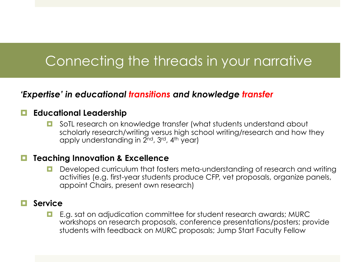### Connecting the threads in your narrative

### *'Expertise' in educational transitions and knowledge transfer*

#### ! **Educational Leadership**

**E** SoTL research on knowledge transfer (what students understand about scholarly research/writing versus high school writing/research and how they apply understanding in 2<sup>nd</sup>, 3<sup>rd</sup>, 4<sup>th</sup> year)

#### ! **Teaching Innovation & Excellence**

**D** Developed curriculum that fosters meta-understanding of research and writing activities (e.g. first-year students produce CFP, vet proposals, organize panels, appoint Chairs, present own research)

#### ! **Service**

**E.g. sat on adjudication committee for student research awards; MURC** workshops on research proposals, conference presentations/posters; provide students with feedback on MURC proposals; Jump Start Faculty Fellow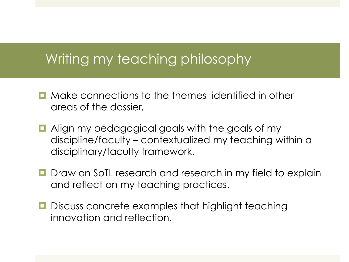### Writing my teaching philosophy

- $\Box$  Make connections to the themes identified in other areas of the dossier.
- **E** Align my pedagogical goals with the goals of my discipline/faculty – contextualized my teaching within a disciplinary/faculty framework.
- **<u>E</u>** Draw on SoTL research and research in my field to explain and reflect on my teaching practices.
- **D** Discuss concrete examples that highlight teaching innovation and reflection.